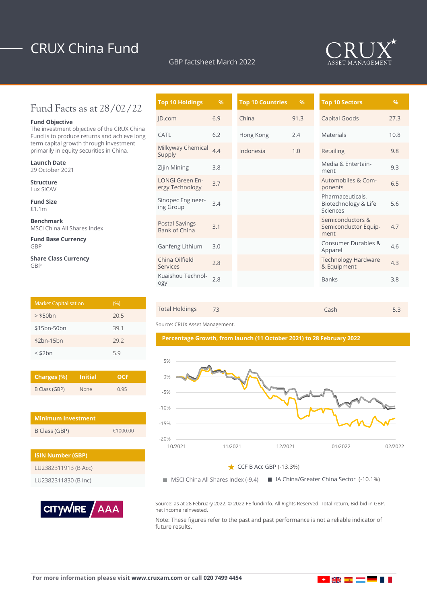# CRUX China Fund

GBP factsheet March 2022



### Fund Facts as at 28/02/22

### **Fund Objective**

The investment objective of the CRUX China Fund is to produce returns and achieve long term capital growth through investment primarily in equity securities in China.

**Launch Date** 29 October 2021

**Structure** Lux SICAV

**Fund Size** £1.1m

**Benchmark** MSCI China All Shares Index

**Fund Base Currency** GBP

**Share Class Currency** GBP

| <b>Market Capitalisation</b> | (9/6) |
|------------------------------|-------|
| $>$ \$50 $bn$                | 20.5  |
| \$15bn-50bn                  | 39.1  |
| \$2bn-15bn                   | 29.2  |
| $<$ \$2 $bn$                 | 5.9   |

| Charges (%)   | <b>Initial</b> | OCF  |  |  |
|---------------|----------------|------|--|--|
| B Class (GBP) | <b>None</b>    | 0.95 |  |  |

| <b>Minimum Investment</b> |          |
|---------------------------|----------|
| B Class (GBP)             | €1000.00 |

| <b>ISIN Number (GBP)</b> |  |
|--------------------------|--|
| LU2382311913 (B Acc)     |  |
| LU2382311830 (B Inc)     |  |



| <b>Top 10 Holdings</b>                    | $\frac{9}{6}$ | <b>Top 10 Countries</b> | $\frac{9}{6}$ | <b>Top 10 Sectors</b>                                |
|-------------------------------------------|---------------|-------------------------|---------------|------------------------------------------------------|
| JD.com                                    | 6.9           | China                   | 91.3          | Capital Goods                                        |
| CATL                                      | 6.2           | Hong Kong               | 2.4           | Materials                                            |
| Milkyway Chemical<br>Supply               | 4.4           | Indonesia               | 1.0           | Retailing                                            |
| Zijin Mining                              | 3.8           |                         |               | Media & Entertain-<br>ment                           |
| <b>LONGi Green En-</b><br>ergy Technology | 3.7           |                         |               | Automobiles & Com-<br>ponents                        |
| Sinopec Engineer-<br>ing Group            | 3.4           |                         |               | Pharmaceuticals,<br>Biotechnology & Life<br>Sciences |
| <b>Postal Savings</b><br>Bank of China    | 3.1           |                         |               | Semiconductors &<br>Semiconductor Equip-<br>ment     |
| Ganfeng Lithium                           | 3.0           |                         |               | Consumer Durables &<br>Apparel                       |
| China Oilfield<br>Services                | 2.8           |                         |               | <b>Technology Hardware</b><br>& Equipment            |
| Kuaishou Technol-<br>ogy                  | 2.8           |                         |               | <b>Banks</b>                                         |

| Total Holdings 73<br>Cash<br>5.3 |
|----------------------------------|
|----------------------------------|

Source: CRUX Asset Management.





**MSCI China All Shares Index (-9.4)** ■ IA China/Greater China Sector (-10.1%)

Source: as at 28 February 2022. © 2022 FE fundinfo. All Rights Reserved. Total return, Bid-bid in GBP, net income reinvested.

Note: These figures refer to the past and past performance is not a reliable indicator of future results.